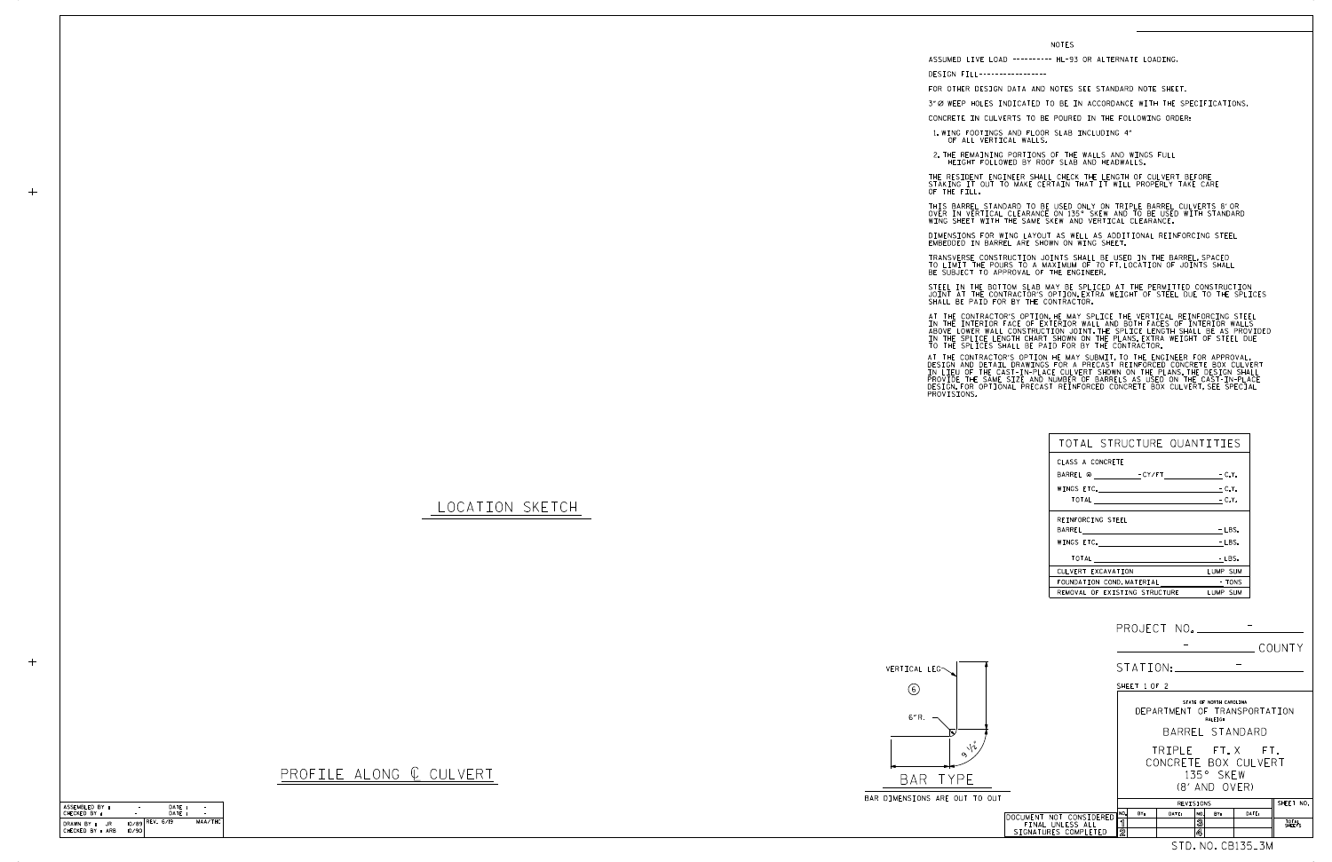| ASSEMBLED BY:                         |                            | DATE: |         |
|---------------------------------------|----------------------------|-------|---------|
| CHECKED BY :                          |                            | DATF: |         |
| DRAWN BY :<br>.IR<br>CHECKED BY : ARB | $10/89$ REV. 6/19<br>10/90 |       | MAA/THC |

|                                                                     |                                                                             |       |                                    |                              | COUNTY          |  |
|---------------------------------------------------------------------|-----------------------------------------------------------------------------|-------|------------------------------------|------------------------------|-----------------|--|
|                                                                     | STATION:                                                                    |       |                                    |                              |                 |  |
|                                                                     | SHEET 1 OF 2                                                                |       |                                    |                              |                 |  |
|                                                                     |                                                                             |       | STATE OF NORTH CAROLINA<br>RALEIGH | DEPARTMENT OF TRANSPORTATION |                 |  |
|                                                                     | BARREL STANDARD                                                             |       |                                    |                              |                 |  |
| <b>OUT</b>                                                          | TRIPLE FT.X FT.<br>CONCRETE BOX CULVERT<br>135° SKFW<br>$(8'$ and $(0)$ FR) |       |                                    |                              |                 |  |
|                                                                     | REVISIONS                                                                   |       |                                    |                              | SHEET NO.       |  |
| DOCUMENT NOT CONSIDERED<br>FINAL UNLESS ALL<br>SIGNATURES COMPLETED | NO.<br>BY:<br>ิจ<br>$\overline{2}$                                          | DATE: | NO.<br>RY:<br>3<br>4               | DATE:                        | TOTAL<br>SHEETS |  |
|                                                                     |                                                                             |       |                                    | STD.NO.CB135_3M              |                 |  |

## LOCATION SKETCH



## PROFILE ALONG  $C$  CULVERT

STEEL IN THE BOTTOM SLAB MAY BE SPLICED AT THE PERMITTED CONSTRUCTION JOINT AT THE CONTRACTOR'S OPTION.EXTRA WEIGHT OF STEEL DUE TO THE SPLICES<br>SHALL BE PAID FOR BY THE CONTRACTOR.

| TOTAL STRUCTURE QUANTITIES                                                                                     |          |
|----------------------------------------------------------------------------------------------------------------|----------|
| CLASS A CONCRETE                                                                                               |          |
| BARREL @ - CY/FT - C.Y.                                                                                        |          |
|                                                                                                                | $-C.Y.$  |
| TOTAL C.Y.                                                                                                     |          |
| REINFORCING STEEL                                                                                              |          |
|                                                                                                                | $-LBS.$  |
| WINGS ETC. The contract of the contract of the contract of the contract of the contract of the contract of the | $-LBS.$  |
| TOTAL                                                                                                          | $-LBS.$  |
| CULVERT EXCAVATION                                                                                             | LUMP SUM |
| FOUNDATION COND. MATERIAL TONS                                                                                 |          |
| REMOVAL OF EXISTING STRUCTURE                                                                                  | LUMP SUM |

## NOTES

DESIGN FILL-----------------

FOR OTHER DESIGN DATA AND NOTES SEE STANDARD NOTE SHEET.

3" Ø WEEP HOLES INDICATED TO BE IN ACCORDANCE WITH THE SPECIFICATIONS.

THIS BARREL STANDARD TO BE USED ONLY ON TRIPLE BARREL CULVERTS 8' OR OVER IN VERTICAL CLEARANCE ON 135° SKEW AND TO BE USED WITH STANDARD<br>WING SHEET WITH THE SAME SKEW AND VERTICAL CLEARANCE.

DIMENSIONS FOR WING LAYOUT AS WELL AS ADDITIONAL REINFORCING STEEL<br>EMBEDDED IN BARREL ARE SHOWN ON WING SHEET.

TRANSVERSE CONSTRUCTION JOINTS SHALL BE USED IN THE BARREL,SPACED<br>TO LIMIT THE POURS TO A MAXIMUM OF 70 FT.LOCATION OF JOINTS SHALL<br>BE SUBJECT TO APPROVAL OF THE ENGINEER.

CONCRETE IN CULVERTS TO BE POURED IN THE FOLLOWING ORDER:

1.WING FOOTINGS AND FLOOR SLAB INCLUDING 4"<br>OF ALL VERTICAL WALLS.

2.THE REMAINING PORTIONS OF THE WALLS AND WINGS FULL<br>HEIGHT FOLLOWED BY ROOF SLAB AND HEADWALLS.

THE RESIDENT ENGINEER SHALL CHECK THE LENGTH OF CULVERT BEFORE<br>STAKING IT OUT TO MAKE CERTAIN THAT IT WILL PROPERLY TAKE CARE<br>OF THE FILL.

IN THE INTERIOR FACE OF EXTERIOR WALL AND BOTH FACES OF INTERIOR WALLS<br>ABOVE LOWER WALL CONSTRUCTION JOINT THE SPLICE LENGTH SHALL BE AS PROVIDED<br>IN THE SPLICE LENGTH CHART SHOWN ON THE PLANS EXTRA WEIGHT OF STEEL DUE<br>TO T AT THE CONTRACTOR'S OPTION, HE MAY SPLICE THE VERTICAL REINFORCING STEEL

AT THE CONTRACTOR'S OPTION HE MAY SUBMIT,TO THE ENGINEER FOR APPROVAL,<br>DESIGN AND DETAIL DRAWINGS FOR A PRECAST REINFORCED CONCRETE BOX CULVERT<br>IN LIEU OF THE CAST-IN-PLACE CULVERT SHOWN ON THE PLANS.THE DESIGN SHALL<br>PROVI

|             | DE SUDJEVT                                                                                             |  |
|-------------|--------------------------------------------------------------------------------------------------------|--|
| SHALL BE PA | STEEL IN THI<br>JOINT AT TH                                                                            |  |
|             | AT THE CONT<br>IN THE INTE<br>ABOVE LOWER<br>IN THE SPLI<br>TO THE SPLI                                |  |
|             | AT THE CONTI<br>DESIGN AND !<br>In Lieu of !<br>IN LIEU OF<br>PROVIDE THE<br>DESIGN.FOR<br>PROVISIONS. |  |

 $+$ 

ASSUMED LIVE LOAD ---------- HL-93 OR ALTERNATE LOADING.